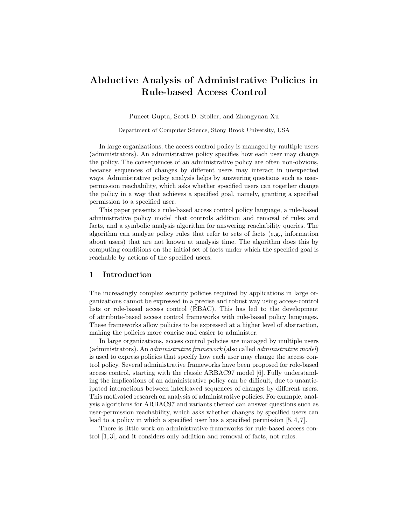# Abductive Analysis of Administrative Policies in Rule-based Access Control

Puneet Gupta, Scott D. Stoller, and Zhongyuan Xu

Department of Computer Science, Stony Brook University, USA

In large organizations, the access control policy is managed by multiple users (administrators). An administrative policy specifies how each user may change the policy. The consequences of an administrative policy are often non-obvious, because sequences of changes by different users may interact in unexpected ways. Administrative policy analysis helps by answering questions such as userpermission reachability, which asks whether specified users can together change the policy in a way that achieves a specified goal, namely, granting a specified permission to a specified user.

This paper presents a rule-based access control policy language, a rule-based administrative policy model that controls addition and removal of rules and facts, and a symbolic analysis algorithm for answering reachability queries. The algorithm can analyze policy rules that refer to sets of facts (e.g., information about users) that are not known at analysis time. The algorithm does this by computing conditions on the initial set of facts under which the specified goal is reachable by actions of the specified users.

## 1 Introduction

The increasingly complex security policies required by applications in large organizations cannot be expressed in a precise and robust way using access-control lists or role-based access control (RBAC). This has led to the development of attribute-based access control frameworks with rule-based policy languages. These frameworks allow policies to be expressed at a higher level of abstraction, making the policies more concise and easier to administer.

In large organizations, access control policies are managed by multiple users (administrators). An administrative framework (also called administrative model) is used to express policies that specify how each user may change the access control policy. Several administrative frameworks have been proposed for role-based access control, starting with the classic ARBAC97 model [6]. Fully understanding the implications of an administrative policy can be difficult, due to unanticipated interactions between interleaved sequences of changes by different users. This motivated research on analysis of administrative policies. For example, analysis algorithms for ARBAC97 and variants thereof can answer questions such as user-permission reachability, which asks whether changes by specified users can lead to a policy in which a specified user has a specified permission [5, 4, 7].

There is little work on administrative frameworks for rule-based access control [1, 3], and it considers only addition and removal of facts, not rules.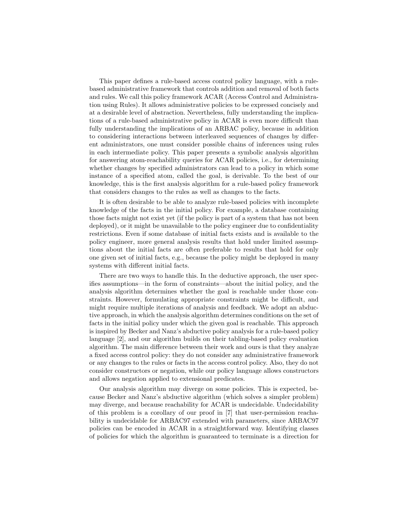This paper defines a rule-based access control policy language, with a rulebased administrative framework that controls addition and removal of both facts and rules. We call this policy framework ACAR (Access Control and Administration using Rules). It allows administrative policies to be expressed concisely and at a desirable level of abstraction. Nevertheless, fully understanding the implications of a rule-based administrative policy in ACAR is even more difficult than fully understanding the implications of an ARBAC policy, because in addition to considering interactions between interleaved sequences of changes by different administrators, one must consider possible chains of inferences using rules in each intermediate policy. This paper presents a symbolic analysis algorithm for answering atom-reachability queries for ACAR policies, i.e., for determining whether changes by specified administrators can lead to a policy in which some instance of a specified atom, called the goal, is derivable. To the best of our knowledge, this is the first analysis algorithm for a rule-based policy framework that considers changes to the rules as well as changes to the facts.

It is often desirable to be able to analyze rule-based policies with incomplete knowledge of the facts in the initial policy. For example, a database containing those facts might not exist yet (if the policy is part of a system that has not been deployed), or it might be unavailable to the policy engineer due to confidentiality restrictions. Even if some database of initial facts exists and is available to the policy engineer, more general analysis results that hold under limited assumptions about the initial facts are often preferable to results that hold for only one given set of initial facts, e.g., because the policy might be deployed in many systems with different initial facts.

There are two ways to handle this. In the deductive approach, the user specifies assumptions—in the form of constraints—about the initial policy, and the analysis algorithm determines whether the goal is reachable under those constraints. However, formulating appropriate constraints might be difficult, and might require multiple iterations of analysis and feedback. We adopt an abductive approach, in which the analysis algorithm determines conditions on the set of facts in the initial policy under which the given goal is reachable. This approach is inspired by Becker and Nanz's abductive policy analysis for a rule-based policy language [2], and our algorithm builds on their tabling-based policy evaluation algorithm. The main difference between their work and ours is that they analyze a fixed access control policy: they do not consider any administrative framework or any changes to the rules or facts in the access control policy. Also, they do not consider constructors or negation, while our policy language allows constructors and allows negation applied to extensional predicates.

Our analysis algorithm may diverge on some policies. This is expected, because Becker and Nanz's abductive algorithm (which solves a simpler problem) may diverge, and because reachability for ACAR is undecidable. Undecidability of this problem is a corollary of our proof in [7] that user-permission reachability is undecidable for ARBAC97 extended with parameters, since ARBAC97 policies can be encoded in ACAR in a straightforward way. Identifying classes of policies for which the algorithm is guaranteed to terminate is a direction for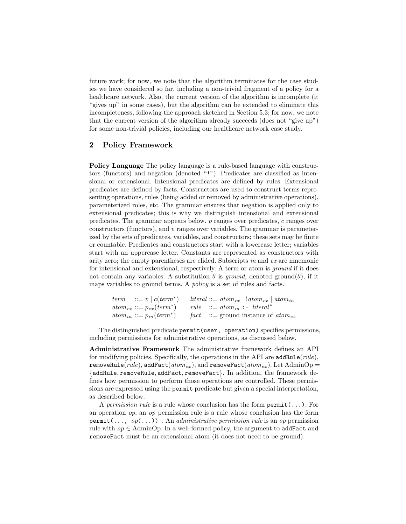future work; for now, we note that the algorithm terminates for the case studies we have considered so far, including a non-trivial fragment of a policy for a healthcare network. Also, the current version of the algorithm is incomplete (it "gives up" in some cases), but the algorithm can be extended to eliminate this incompleteness, following the approach sketched in Section 5.3; for now, we note that the current version of the algorithm already succeeds (does not "give up") for some non-trivial policies, including our healthcare network case study.

## 2 Policy Framework

Policy Language The policy language is a rule-based language with constructors (functors) and negation (denoted "!"). Predicates are classified as intensional or extensional. Intensional predicates are defined by rules. Extensional predicates are defined by facts. Constructors are used to construct terms representing operations, rules (being added or removed by administrative operations), parameterized roles, etc. The grammar ensures that negation is applied only to extensional predicates; this is why we distinguish intensional and extensional predicates. The grammar appears below. p ranges over predicates, c ranges over  $constructions$  (functors), and  $v$  ranges over variables. The grammar is parameterized by the sets of predicates, variables, and constructors; these sets may be finite or countable. Predicates and constructors start with a lowercase letter; variables start with an uppercase letter. Constants are represented as constructors with arity zero; the empty parentheses are elided. Subscripts in and ex are mnemonic for intensional and extensional, respectively. A term or atom is ground if it does not contain any variables. A substitution  $\theta$  is ground, denoted ground( $\theta$ ), if it maps variables to ground terms. A *policy* is a set of rules and facts.

| $term \quad ::= v \mid c(term^*)$ | $literal ::= atom_{ex}  $ ! $atom_{ex}   atom_{in}$ |
|-----------------------------------|-----------------------------------------------------|
| $atom_{ex} ::= p_{ex}(term^*)$    | rule $\cdots = atom_{in} : - literal^*$             |
| $atom_{in} ::= p_{in}(term^*)$    | <i>fact</i> ::= ground instance of $atom_{ex}$      |

The distinguished predicate permit(user, operation) specifies permissions, including permissions for administrative operations, as discussed below.

Administrative Framework The administrative framework defines an API for modifying policies. Specifically, the operations in the API are  $addRule(\text{rule})$ , removeRule(rule), addFact( $atom_{ex}$ ), and removeFact( $atom_{ex}$ ). Let AdminOp = {addRule, removeRule, addFact, removeFact}. In addition, the framework defines how permission to perform those operations are controlled. These permissions are expressed using the permit predicate but given a special interpretation, as described below.

A permission rule is a rule whose conclusion has the form  $\text{permit}(\ldots)$ . For an operation op, an op permission rule is a rule whose conclusion has the form permit(...,  $op(\ldots)$ ). An administrative permission rule is an op permission rule with  $op \in \text{AdminOp}$ . In a well-formed policy, the argument to addFact and removeFact must be an extensional atom (it does not need to be ground).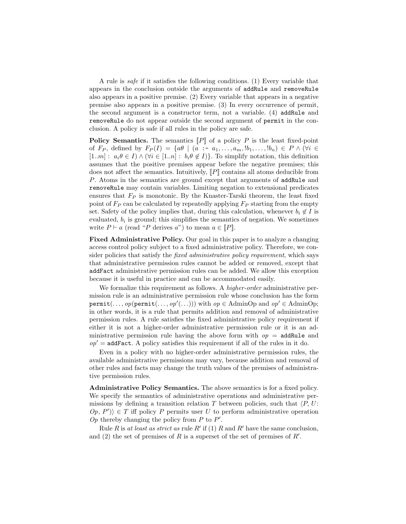A rule is safe if it satisfies the following conditions. (1) Every variable that appears in the conclusion outside the arguments of addRule and removeRule also appears in a positive premise. (2) Every variable that appears in a negative premise also appears in a positive premise. (3) In every occurrence of permit, the second argument is a constructor term, not a variable. (4) addRule and removeRule do not appear outside the second argument of permit in the conclusion. A policy is safe if all rules in the policy are safe.

**Policy Semantics.** The semantics  $\llbracket P \rrbracket$  of a policy P is the least fixed-point of  $F_P$ , defined by  $F_P(I) = \{a\theta \mid (a := a_1, \ldots, a_m, !b_1, \ldots, !b_n) \in P \land (\forall i \in$  $[1..m] : a_i \theta \in I) \wedge (\forall i \in [1..n] : b_i \theta \notin I)$ . To simplify notation, this definition assumes that the positive premises appear before the negative premises; this does not affect the semantics. Intuitively,  $\llbracket P \rrbracket$  contains all atoms deducible from P. Atoms in the semantics are ground except that arguments of addRule and removeRule may contain variables. Limiting negation to extensional predicates ensures that  $F_P$  is monotonic. By the Knaster-Tarski theorem, the least fixed point of  $F_P$  can be calculated by repeatedly applying  $F_P$  starting from the empty set. Safety of the policy implies that, during this calculation, whenever  $b_i \notin I$  is evaluated,  $b_i$  is ground; this simplifies the semantics of negation. We sometimes write  $P \vdash a$  (read "P derives a") to mean  $a \in [P]$ .

Fixed Administrative Policy. Our goal in this paper is to analyze a changing access control policy subject to a fixed administrative policy. Therefore, we consider policies that satisfy the fixed administrative policy requirement, which says that administrative permission rules cannot be added or removed, except that addFact administrative permission rules can be added. We allow this exception because it is useful in practice and can be accommodated easily.

We formalize this requirement as follows. A *higher-order* administrative permission rule is an administrative permission rule whose conclusion has the form permit(...,  $op(\text{permit}(\ldots, op'(\ldots)))$  with  $op \in \text{AdminOp}$  and  $op' \in \text{AdminOp}$ ; in other words, it is a rule that permits addition and removal of administrative permission rules. A rule satisfies the fixed administrative policy requirement if either it is not a higher-order administrative permission rule or it is an administrative permission rule having the above form with  $op =$  addRule and  $op' = \text{addFact. A policy satisfies this requirement if all of the rules in it do.}$ 

Even in a policy with no higher-order administrative permission rules, the available administrative permissions may vary, because addition and removal of other rules and facts may change the truth values of the premises of administrative permission rules.

Administrative Policy Semantics. The above semantics is for a fixed policy. We specify the semantics of administrative operations and administrative permissions by defining a transition relation T between policies, such that  $\langle P, U: \rangle$  $\langle Op, P' \rangle \in T$  iff policy P permits user U to perform administrative operation  $Op$  thereby changing the policy from  $P$  to  $P'$ .

Rule R is at least as strict as rule R' if (1) R and R' have the same conclusion, and (2) the set of premises of R is a superset of the set of premises of  $R'$ .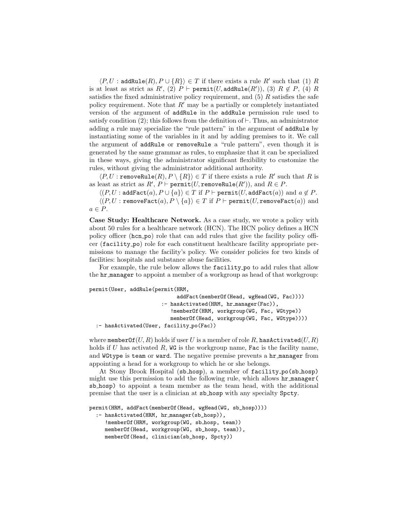$\langle P, U : \text{addRule}(R), P \cup \{R\} \rangle \in T$  if there exists a rule R' such that (1) R is at least as strict as  $R'$ , (2)  $P \vdash \text{permit}(U, \text{addRule}(R')),$  (3)  $R \notin P$ , (4)  $R$ satisfies the fixed administrative policy requirement, and  $(5)$  R satisfies the safe policy requirement. Note that  $R'$  may be a partially or completely instantiated version of the argument of addRule in the addRule permission rule used to satisfy condition (2); this follows from the definition of  $\vdash$ . Thus, an administrator adding a rule may specialize the "rule pattern" in the argument of addRule by instantiating some of the variables in it and by adding premises to it. We call the argument of addRule or removeRule a "rule pattern", even though it is generated by the same grammar as rules, to emphasize that it can be specialized in these ways, giving the administrator significant flexibility to customize the rules, without giving the administrator additional authority.

 $\langle P, U : \texttt{removeRule}(R), P \setminus \{R\} \rangle \in T$  if there exists a rule  $R'$  such that R is as least as strict as  $R', P \vdash \texttt{permit}(U, \texttt{removeRule}(R')),$  and  $R \in P$ .

 $\langle (P, U : \text{addFact}(a), P \cup \{a\}) \in T \text{ if } P \vdash \text{permit}(U, \text{addFact}(a)) \text{ and } a \notin P.$  $\langle (P, U : \texttt{removeFact}(a), P \setminus \{a\}) \in T \text{ if } P \vdash \texttt{permit}(U, \texttt{removeFact}(a)) \text{ and }$  $a \in P$ .

Case Study: Healthcare Network. As a case study, we wrote a policy with about 50 rules for a healthcare network (HCN). The HCN policy defines a HCN policy officer (hcn po) role that can add rules that give the facility policy officer (facility po) role for each constituent healthcare facility appropriate permissions to manage the facility's policy. We consider policies for two kinds of facilities: hospitals and substance abuse facilities.

For example, the rule below allows the facility po to add rules that allow the hr manager to appoint a member of a workgroup as head of that workgroup:

permit(User, addRule(permit(HRM,

```
addFact(memberOf(Head, wgHead(WG, Fac))))
                     :- hasActivated(HRM, hr manager(Fac)),
                        !memberOf(HRM, workgroup(WG, Fac, WGtype))
                        memberOf(Head, workgroup(WG, Fac, WGtype))))
:- hasActivated(User, facility_po(Fac))
```
where member Of  $(U, R)$  holds if user U is a member of role R, has Activated  $(U, R)$ holds if  $U$  has activated  $R$ ,  $\mathsf{W}G$  is the workgroup name, Fac is the facility name, and WGtype is team or ward. The negative premise prevents a hr manager from appointing a head for a workgroup to which he or she belongs.

At Stony Brook Hospital (sb hosp), a member of facility po(sb hosp) might use this permission to add the following rule, which allows hr manager( sb hosp) to appoint a team member as the team head, with the additional premise that the user is a clinician at sb hosp with any specialty Spcty.

```
permit(HRM, addFact(memberOf(Head, wgHead(WG, sb_hosp))))
  :- hasActivated(HRM, hr manager(sb_hosp)),
     !memberOf(HRM, workgroup(WG, sb_hosp, team))
     memberOf(Head, workgroup(WG, sb_hosp, team)),
     memberOf(Head, clinician(sb_hosp, Spcty))
```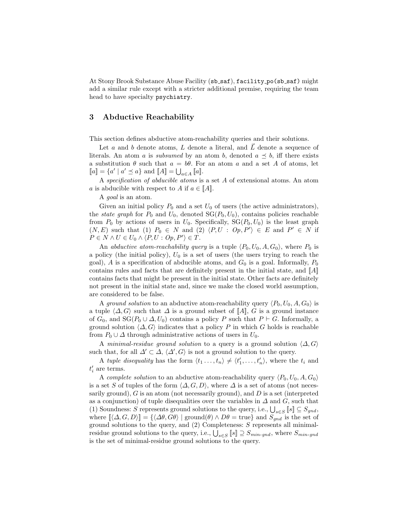At Stony Brook Substance Abuse Facility (sb\_saf), facility\_po(sb\_saf) might add a similar rule except with a stricter additional premise, requiring the team head to have specialty psychiatry.

## 3 Abductive Reachability

This section defines abductive atom-reachability queries and their solutions.

Let a and b denote atoms, L denote a literal, and  $\vec{L}$  denote a sequence of literals. An atom a is *subsumed* by an atom b, denoted  $a \preceq b$ , iff there exists a substitution  $\theta$  such that  $a = b\theta$ . For an atom a and a set A of atoms, let  $\llbracket a \rrbracket = \{a' \mid a' \preceq a\}$  and  $\llbracket A \rrbracket = \bigcup_{a \in A} \llbracket a \rrbracket$ .

A specification of abducible atoms is a set A of extensional atoms. An atom a is abducible with respect to A if  $a \in [A]$ .

A goal is an atom.

Given an initial policy  $P_0$  and a set  $U_0$  of users (the active administrators), the *state graph* for  $P_0$  and  $U_0$ , denoted  $SG(P_0, U_0)$ , contains policies reachable from  $P_0$  by actions of users in  $U_0$ . Specifically,  $SG(P_0, U_0)$  is the least graph  $(N, E)$  such that (1)  $P_0 \in N$  and (2)  $\langle P, U : Op, P' \rangle \in E$  and  $P' \in N$  if  $P \in N \wedge U \in U_0 \wedge \langle P, U : Op, P' \rangle \in T.$ 

An *abductive atom-reachability query* is a tuple  $\langle P_0, U_0, A, G_0 \rangle$ , where  $P_0$  is a policy (the initial policy),  $U_0$  is a set of users (the users trying to reach the goal), A is a specification of abducible atoms, and  $G_0$  is a goal. Informally,  $P_0$ contains rules and facts that are definitely present in the initial state, and  $\llbracket A \rrbracket$ contains facts that might be present in the initial state. Other facts are definitely not present in the initial state and, since we make the closed world assumption, are considered to be false.

A ground solution to an abductive atom-reachability query  $\langle P_0, U_0, A, G_0 \rangle$  is a tuple  $\langle \Delta, G \rangle$  such that  $\Delta$  is a ground subset of [A], G is a ground instance of  $G_0$ , and  $SG(P_0 \cup \Delta, U_0)$  contains a policy P such that  $P \vdash G$ . Informally, a ground solution  $\langle \Delta, G \rangle$  indicates that a policy P in which G holds is reachable from  $P_0 \cup \Delta$  through administrative actions of users in  $U_0$ .

A minimal-residue ground solution to a query is a ground solution  $\langle \Delta, G \rangle$ such that, for all  $\Delta' \subset \Delta$ ,  $\langle \Delta', G \rangle$  is not a ground solution to the query.

A tuple disequality has the form  $\langle t_1, \ldots, t_n \rangle \neq \langle t'_1, \ldots, t'_n \rangle$ , where the  $t_i$  and  $t_i'$  are terms.

A complete solution to an abductive atom-reachability query  $\langle P_0, U_0, A, G_0 \rangle$ is a set S of tuples of the form  $\langle \Delta, G, D \rangle$ , where  $\Delta$  is a set of atoms (not necessarily ground),  $G$  is an atom (not necessarily ground), and  $D$  is a set (interpreted as a conjunction) of tuple disequalities over the variables in  $\Delta$  and G, such that (1) Soundness: S represents ground solutions to the query, i.e.,  $\bigcup_{s \in S} [s] \subseteq S_{gnd}$ , where  $[\langle \Delta, G, D \rangle] = {\langle \Delta \theta, G\theta \rangle | \text{ground}(\theta) \wedge D\theta = \text{true}}$  and  $S_{gnd}$  is the set of ground solutions to the query, and (2) Completeness: S represents all minimalresidue ground solutions to the query, i.e.,  $\bigcup_{s \in S} [s] \supseteq S_{min\text{-}gnd}$ , where  $S_{min\text{-}gnd}$ is the set of minimal-residue ground solutions to the query.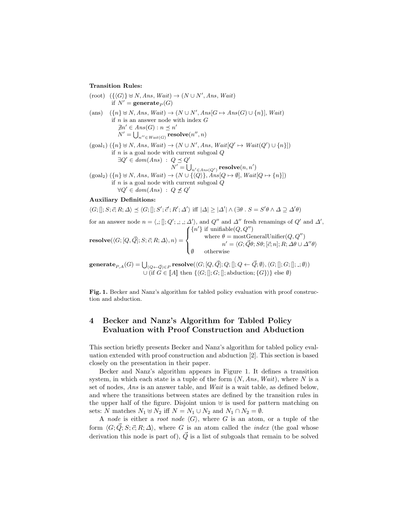#### Transition Rules:

 $(root)$   $({\{\langle G \rangle\}} \oplus N, Ans, Wait) \rightarrow (N \cup N', Ans, Wait)$ if  $N' = \textbf{generate}_P(G)$ (ans)  $({n} \in N, Ans, Wait) \rightarrow (N \cup N', Ans[G \mapsto Ans(G) \cup {n}], Wait)$ if  $n$  is an answer node with index  $G$  $\exists n' \in Ans(G) : n \preceq n'$  $N' = \bigcup_{n'' \in \text{Wait}(G)} \textbf{resolve}(n'', n)$  $(goal_1) (\lbrace n \rbrace \uplus N, Ans, Wait) \rightarrow (N \cup N', Ans, Wait[Q' \mapsto Wait(Q') \cup \lbrace n \rbrace])$ if  $n$  is a goal node with current subgoal  $Q$  $\exists Q' \in dom(Ans) : Q \preceq Q'$  $N' = \bigcup_{n' \in Ans(Q')} \textbf{resolve}(n, n')$  $(g\text{oal}_2)$   $({n} \oplus N, Ans, Wait) \rightarrow (N \cup {\langle Q \rangle}, Ans[Q \mapsto \emptyset], Wait[Q \mapsto {n}])$ if  $n$  is a goal node with current subgoal  $Q$  $\forall Q' \in dom(Ans) : Q \npreceq Q'$ 

## Auxiliary Definitions:

$$
\langle G;[], S; \vec{c}; R; \Delta \rangle \preceq \langle G;[], S'; \vec{c}; R'; \Delta' \rangle \text{ iff } |\Delta| \geq |\Delta'| \land (\exists \theta \cdot S = S'\theta \land \Delta \supseteq \Delta'\theta)
$$

for an answer node  $n = \langle \cdot, \|; Q'; \cdot, \cdot, \cdot, \Delta' \rangle$ , and  $Q''$  and  $\Delta''$  fresh renamings of  $Q'$  and  $\Delta'$ ,  $\textbf{resolve}(\langle G;[Q,\vec{Q}];S;\vec{c};R;\Delta\rangle, n) =$  $\sqrt{ }$  $\int$  $\overline{\mathcal{L}}$  ${n' }$  if unifiable $(Q, Q'')$ where  $\theta = \text{mostGeneralUniform}(Q, Q'')$  $n' = \langle G; \vec{Q}\theta; S\theta; [\vec{c}; n]; R; \Delta\theta \cup \Delta''\theta \rangle$ ∅ otherwise

 $\textbf{generate}_{P,A}(G) = \bigcup_{(Q \leftarrow \vec{Q}) \in P} \textbf{ resolve}(\langle G; [Q, \vec{Q}]; Q; []; Q \leftarrow \vec{Q}; \emptyset \rangle, \langle G; []; G; []; \square; \emptyset \rangle)$  $\cup$  (if  $G \in [A]$  then  $\{\langle G; [|; G; |]; \text{abduction}; \{G\}\rangle\}$  else  $\emptyset$ )

Fig. 1. Becker and Nanz's algorithm for tabled policy evaluation with proof construction and abduction.

## 4 Becker and Nanz's Algorithm for Tabled Policy Evaluation with Proof Construction and Abduction

This section briefly presents Becker and Nanz's algorithm for tabled policy evaluation extended with proof construction and abduction [2]. This section is based closely on the presentation in their paper.

Becker and Nanz's algorithm appears in Figure 1. It defines a transition system, in which each state is a tuple of the form  $(N, Ans, Wait)$ , where N is a set of nodes, Ans is an answer table, and Wait is a wait table, as defined below, and where the transitions between states are defined by the transition rules in the upper half of the figure. Disjoint union  $\forall$  is used for pattern matching on sets: N matches  $N_1 \oplus N_2$  iff  $N = N_1 \cup N_2$  and  $N_1 \cap N_2 = \emptyset$ .

A node is either a root node  $\langle G \rangle$ , where G is an atom, or a tuple of the form  $\langle G; \vec{Q}; S; \vec{c}; R; \Delta \rangle$ , where G is an atom called the *index* (the goal whose derivation this node is part of),  $\vec{Q}$  is a list of subgoals that remain to be solved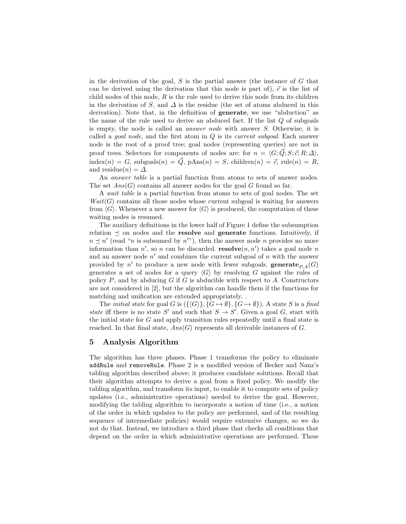in the derivation of the goal,  $S$  is the partial answer (the instance of  $G$  that can be derived using the derivation that this node is part of),  $\vec{c}$  is the list of child nodes of this node,  $R$  is the rule used to derive this node from its children in the derivation of S, and  $\Delta$  is the residue (the set of atoms abduced in this derivation). Note that, in the definition of generate, we use "abduction" as the name of the rule used to derive an abduced fact. If the list  $Q$  of subgoals is empty, the node is called an answer node with answer S. Otherwise, it is called a *goal node*, and the first atom in  $Q$  is its *current subgoal*. Each answer node is the root of a proof tree; goal nodes (representing queries) are not in proof trees. Selectors for components of nodes are: for  $n = \langle G; \vec{Q}; S; \vec{c}; R; \Delta \rangle$ ,  $index(n) = G$ ,  $subgoals(n) = \vec{Q}$ ,  $pAns(n) = S$ ,  $children(n) = \vec{c}$ ,  $rule(n) = R$ , and residue $(n) = \Delta$ .

An answer table is a partial function from atoms to sets of answer nodes. The set  $Ans(G)$  contains all answer nodes for the goal G found so far.

A wait table is a partial function from atoms to sets of goal nodes. The set  $Wait(G)$  contains all those nodes whose current subgoal is waiting for answers from  $\langle G \rangle$ . Whenever a new answer for  $\langle G \rangle$  is produced, the computation of these waiting nodes is resumed.

The auxiliary definitions in the lower half of Figure 1 define the subsumption relation  $\preceq$  on nodes and the **resolve** and **generate** functions. Intuitively, if  $n \leq n'$  (read "n is subsumed by n'"), then the answer node n provides no more information than  $n'$ , so n can be discarded. **resolve** $(n, n')$  takes a goal node n and an answer node  $n'$  and combines the current subgoal of  $n$  with the answer provided by  $n'$  to produce a new node with fewer subgoals. **generate**<sub>P,A</sub>(G) generates a set of nodes for a query  $\langle G \rangle$  by resolving G against the rules of policy  $P$ , and by abducing  $G$  if  $G$  is abducible with respect to  $A$ . Constructors are not considered in [2], but the algorithm can handle them if the functions for matching and unification are extended appropriately. .

The *initial state* for goal G is  $({\{\langle G \rangle\}, \{G \mapsto \emptyset\}, \{G \mapsto \emptyset\}})$ . A state S is a final state iff there is no state S' and such that  $S \to S'$ . Given a goal G, start with the initial state for G and apply transition rules repeatedly until a final state is reached. In that final state,  $Ans(G)$  represents all derivable instances of G.

## 5 Analysis Algorithm

The algorithm has three phases. Phase 1 transforms the policy to eliminate addRule and removeRule. Phase 2 is a modified version of Becker and Nanz's tabling algorithm described above; it produces candidate solutions. Recall that their algorithm attempts to derive a goal from a fixed policy. We modify the tabling algorithm, and transform its input, to enable it to compute sets of policy updates (i.e., administrative operations) needed to derive the goal. However, modifying the tabling algorithm to incorporate a notion of time (i.e., a notion of the order in which updates to the policy are performed, and of the resulting sequence of intermediate policies) would require extensive changes, so we do not do that. Instead, we introduce a third phase that checks all conditions that depend on the order in which administrative operations are performed. These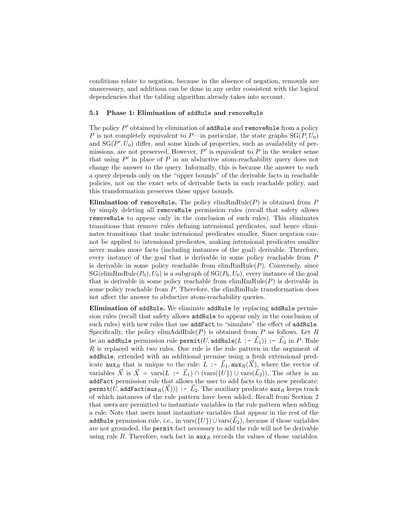conditions relate to negation, because in the absence of negation, removals are unnecessary, and additions can be done in any order consistent with the logical dependencies that the tabling algorithm already takes into account.

### 5.1 Phase 1: Elimination of addRule and removeRule

The policy  $P'$  obtained by elimination of addRule and removeRule from a policy P is not completely equivalent to P—in particular, the state graphs  $SG(P, U_0)$ and  $SG(P', U_0)$  differ, and some kinds of properties, such as availability of permissions, are not preserved. However,  $P'$  is equivalent to  $P$  in the weaker sense that using  $P'$  in place of  $P$  in an abductive atom-reachability query does not change the answer to the query. Informally, this is because the answer to such a query depends only on the "upper bounds" of the derivable facts in reachable policies, not on the exact sets of derivable facts in each reachable policy, and this transformation preserves those upper bounds.

**Elimination of removeRule.** The policy elim $\text{RmRule}(P)$  is obtained from P by simply deleting all removeRule permission rules (recall that safety allows removeRule to appear only in the conclusion of such rules). This eliminates transitions that remove rules defining intensional predicates, and hence eliminates transitions that make intensional predicates smaller. Since negation cannot be applied to intensional predicates, making intensional predicates smaller never makes more facts (including instances of the goal) derivable. Therefore, every instance of the goal that is derivable in some policy reachable from P is derivable in some policy reachable from  $elimRmRule(P)$ . Conversely, since  $SG(\text{elimRmRule}(P_0), U_0)$  is a subgraph of  $SG(P_0, U_0)$ , every instance of the goal that is derivable in some policy reachable from  $elimRmRule(P)$  is derivable in some policy reachable from  $P$ . Therefore, the elimRmRule transformation does not affect the answer to abductive atom-reachability queries.

Elimination of addRule. We eliminate addRule by replacing addRule permission rules (recall that safety allows addRule to appear only in the conclusion of such rules) with new rules that use addFact to "simulate" the effect of addRule. Specifically, the policy  $elimAddRule(P)$  is obtained from P as follows. Let R be an addRule permission rule  $\texttt{permit}(U,\texttt{addRule}(L:-\vec{L}_1)):-\vec{L}_2$  in  $P.$  Rule R is replaced with two rules. One rule is the rule pattern in the argument of addRule, extended with an additional premise using a fresh extensional predicate  $\max_R$  that is unique to the rule:  $\vec{L}$  :-  $\vec{L}_1$ ,  $\max_R(\vec{X})$ , where the vector of variables  $\vec{X}$  is  $\vec{X} = \text{vars}(L : \vec{L}_1) \cap (\text{vars}(\{U\}) \cup \text{vars}(\vec{L}_2)).$  The other is an addFact permission rule that allows the user to add facts to this new predicate:  $\texttt{permit}(U, \texttt{addFact}(\texttt{aux}_R(\vec{X}))) \,\coloneq\, \vec{L}_2.$  The auxiliary predicate  $\texttt{aux}_R$  keeps track of which instances of the rule pattern have been added. Recall from Section 2 that users are permitted to instantiate variables in the rule pattern when adding a rule. Note that users must instantiate variables that appear in the rest of the addRule permission rule, i.e., in  $\text{vars}(\{U\}) \cup \text{vars}(\vec{L}_2)$ , because if those variables are not grounded, the permit fact necessary to add the rule will not be derivable using rule R. Therefore, each fact in  $\alpha_{R}$  records the values of those variables.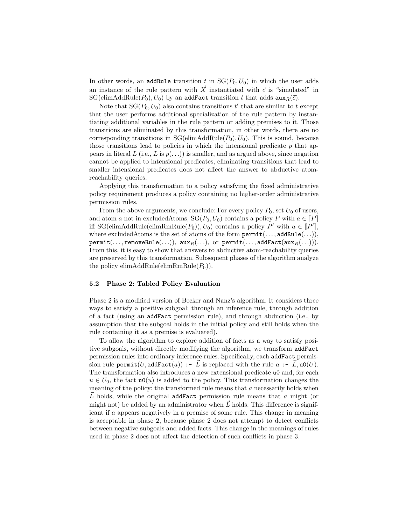In other words, an addRule transition t in  $SG(P_0, U_0)$  in which the user adds an instance of the rule pattern with  $\vec{X}$  instantiated with  $\vec{c}$  is "simulated" in SG(elimAddRule( $P_0$ ),  $U_0$ ) by an addFact transition t that adds aux $_R(\vec{c})$ .

Note that  $SG(P_0, U_0)$  also contains transitions  $t'$  that are similar to t except that the user performs additional specialization of the rule pattern by instantiating additional variables in the rule pattern or adding premises to it. Those transitions are eliminated by this transformation, in other words, there are no corresponding transitions in  $SG(\text{elimAddRule}(P_0), U_0)$ . This is sound, because those transitions lead to policies in which the intensional predicate  $p$  that appears in literal L (i.e., L is  $p(\ldots)$ ) is smaller, and as argued above, since negation cannot be applied to intensional predicates, eliminating transitions that lead to smaller intensional predicates does not affect the answer to abductive atomreachability queries.

Applying this transformation to a policy satisfying the fixed administrative policy requirement produces a policy containing no higher-order administrative permission rules.

From the above arguments, we conclude: For every policy  $P_0$ , set  $U_0$  of users, and atom a not in excludedAtoms,  $SG(P_0, U_0)$  contains a policy P with  $a \in [P]$ iff SG(elimAddRule(elimRmRule( $P_0$ )),  $U_0$ ) contains a policy  $P'$  with  $a \in [P']$ , where excludedAtoms is the set of atoms of the form  $\text{permit}(\ldots, \text{addRule}(\ldots)),$  $\text{permit}(\ldots, \text{removeRule}(\ldots)), \text{ aux}_R(\ldots), \text{ or } \text{permit}(\ldots, \text{addFact}(\text{aux}_R(\ldots))).$ From this, it is easy to show that answers to abductive atom-reachability queries are preserved by this transformation. Subsequent phases of the algorithm analyze the policy elimAddRule(elimRmRule( $P_0$ )).

## 5.2 Phase 2: Tabled Policy Evaluation

Phase 2 is a modified version of Becker and Nanz's algorithm. It considers three ways to satisfy a positive subgoal: through an inference rule, through addition of a fact (using an addFact permission rule), and through abduction (i.e., by assumption that the subgoal holds in the initial policy and still holds when the rule containing it as a premise is evaluated).

To allow the algorithm to explore addition of facts as a way to satisfy positive subgoals, without directly modifying the algorithm, we transform addFact permission rules into ordinary inference rules. Specifically, each addFact permission rule permit(U, addFact(a)) :-  $\vec{L}$  is replaced with the rule  $a := \vec{L}$ , u0(U). The transformation also introduces a new extensional predicate u0 and, for each  $u \in U_0$ , the fact  $u(0u)$  is added to the policy. This transformation changes the meaning of the policy: the transformed rule means that a necessarily holds when  $L$  holds, while the original addFact permission rule means that  $a$  might (or might not) be added by an administrator when  $\vec{L}$  holds. This difference is significant if a appears negatively in a premise of some rule. This change in meaning is acceptable in phase 2, because phase 2 does not attempt to detect conflicts between negative subgoals and added facts. This change in the meanings of rules used in phase 2 does not affect the detection of such conflicts in phase 3.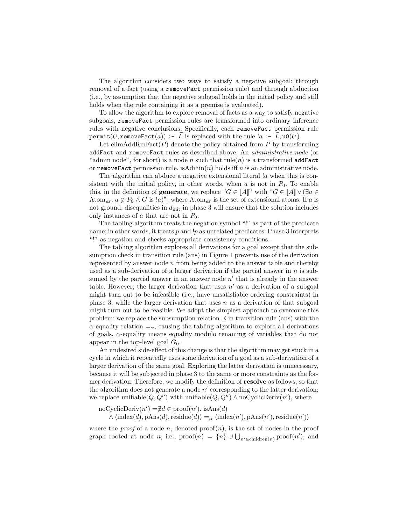The algorithm considers two ways to satisfy a negative subgoal: through removal of a fact (using a removeFact permission rule) and through abduction (i.e., by assumption that the negative subgoal holds in the initial policy and still holds when the rule containing it as a premise is evaluated).

To allow the algorithm to explore removal of facts as a way to satisfy negative subgoals, removeFact permission rules are transformed into ordinary inference rules with negative conclusions. Specifically, each removeFact permission rule permit(U, removeFact(a)) :-  $\vec{L}$  is replaced with the rule  $a : - \vec{L}$ ,  $u0(U)$ .

Let  $\text{elimAddRmFact}(P)$  denote the policy obtained from P by transforming addFact and removeFact rules as described above. An *administrative node* (or "admin node", for short) is a node n such that  $rule(n)$  is a transformed addFact or removeFact permission rule. isAdmin $(n)$  holds iff n is an administrative node.

The algorithm can abduce a negative extensional literal !a when this is consistent with the initial policy, in other words, when  $a$  is not in  $P_0$ . To enable this, in the definition of **generate**, we replace " $G \in [A]$ " with " $G \in [A] \vee (\exists a \in$ Atom<sub>ex</sub>.  $a \notin P_0 \wedge G$  is  $\{a\}$ , where Atom<sub>ex</sub> is the set of extensional atoms. If a is not ground, disequalities in  $d_{init}$  in phase 3 will ensure that the solution includes only instances of a that are not in  $P_0$ .

The tabling algorithm treats the negation symbol "!" as part of the predicate name; in other words, it treats  $p$  and  $p$  as unrelated predicates. Phase 3 interprets "!" as negation and checks appropriate consistency conditions.

The tabling algorithm explores all derivations for a goal except that the subsumption check in transition rule (ans) in Figure 1 prevents use of the derivation represented by answer node n from being added to the answer table and thereby used as a sub-derivation of a larger derivation if the partial answer in  $n$  is subsumed by the partial answer in an answer node  $n'$  that is already in the answer table. However, the larger derivation that uses  $n'$  as a derivation of a subgoal might turn out to be infeasible (i.e., have unsatisfiable ordering constraints) in phase 3, while the larger derivation that uses  $n$  as a derivation of that subgoal might turn out to be feasible. We adopt the simplest approach to overcome this problem: we replace the subsumption relation  $\preceq$  in transition rule (ans) with the  $\alpha$ -equality relation =<sub> $\alpha$ </sub>, causing the tabling algorithm to explore all derivations of goals.  $\alpha$ -equality means equality modulo renaming of variables that do not appear in the top-level goal  $G_0$ .

An undesired side-effect of this change is that the algorithm may get stuck in a cycle in which it repeatedly uses some derivation of a goal as a sub-derivation of a larger derivation of the same goal. Exploring the latter derivation is unnecessary, because it will be subjected in phase 3 to the same or more constraints as the former derivation. Therefore, we modify the definition of resolve as follows, so that the algorithm does not generate a node  $n'$  corresponding to the latter derivation: we replace unifiable  $(Q, Q'')$  with unifiable  $(Q, Q'') \wedge \text{noCyclicDeriv}(n')$ , where

 $\mathrm{noCyclicDeriv}(n') = \bar{\mathcal{A}}d \in \mathrm{proof}(n')$ . is $\mathrm{Ans}(d)$  $\wedge \langle \text{index}(d), \text{pAns}(d), \text{residue}(d) \rangle = \alpha \langle \text{index}(n'), \text{pAns}(n'), \text{residue}(n') \rangle$ 

where the *proof* of a node n, denoted  $\text{proof}(n)$ , is the set of nodes in the proof graph rooted at node *n*, i.e.,  $\text{proof}(n) = \{n\} \cup \bigcup_{n' \in \text{children}(n)} \text{proof}(n')$ , and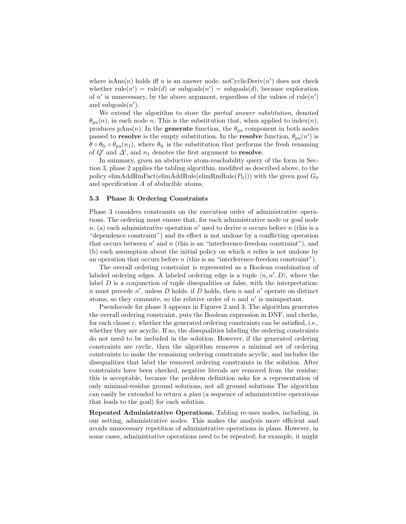where  $\operatorname{isAns}(n)$  holds iff n is an answer node. noCyclicDeriv $(n')$  does not check whether  $rule(n') = rule(d)$  or  $subgoals(n') = subgoals(d)$ , because exploration of  $n'$  is unnecessary, by the above argument, regardless of the values of rule $(n')$ and  $subgoals(n')$ .

We extend the algorithm to store the partial answer substitution, denoted  $\theta_{pa}(n)$ , in each node n. This is the substitution that, when applied to index(n), produces pAns $(n)$ . In the **generate** function, the  $\theta_{pa}$  component in both nodes passed to **resolve** is the empty substitution. In the **resolve** function,  $\theta_{pa}(n')$  is  $\theta \circ \theta_{\text{fr}} \circ \theta_{\text{pa}}(n_1)$ , where  $\theta_{\text{fr}}$  is the substitution that performs the fresh renaming of  $Q'$  and  $\Delta'$ , and  $n_1$  denotes the first argument to **resolve**.

In summary, given an abductive atom-reachability query of the form in Section 3, phase 2 applies the tabling algorithm, modified as described above, to the policy elimAddRmFact(elimAddRule(elimRmRule( $P_0$ ))) with the given goal  $G_0$ and specification A of abducible atoms.

#### 5.3 Phase 3: Ordering Constraints

Phase 3 considers constraints on the execution order of administrative operations. The ordering must ensure that, for each administrative node or goal node  $n, (a)$  each administrative operation  $n'$  used to derive n occurs before n (this is a "dependence constraint") and its effect is not undone by a conflicting operation that occurs between  $n'$  and  $n$  (this is an "interference-freedom constraint"), and (b) each assumption about the initial policy on which  $n$  relies is not undone by an operation that occurs before  $n$  (this is an "interference-freedom constraint").

The overall ordering constraint is represented as a Boolean combination of labeled ordering edges. A labeled ordering edge is a tuple  $\langle n, n', D \rangle$ , where the label  $D$  is a conjunction of tuple disequalities or false, with the interpretation: n must precede  $n'$ , unless D holds. if D holds, then n and  $n'$  operate on distinct atoms, so they commute, so the relative order of  $n$  and  $n'$  is unimportant.

Pseudocode for phase 3 appears in Figures 2 and 3. The algorithm generates the overall ordering constraint, puts the Boolean expression in DNF, and checks, for each clause c, whether the generated ordering constraints can be satisfied, i.e., whether they are acyclic. If so, the disequalities labeling the ordering constraints do not need to be included in the solution. However, if the generated ordering constraints are cyclic, then the algorithm removes a minimal set of ordering constraints to make the remaining ordering constraints acyclic, and includes the disequalities that label the removed ordering constraints in the solution. After constraints have been checked, negative literals are removed from the residue; this is acceptable, because the problem definition asks for a representation of only minimal-residue ground solutions, not all ground solutions The algorithm can easily be extended to return a plan (a sequence of administrative operations that leads to the goal) for each solution.

Repeated Administrative Operations. Tabling re-uses nodes, including, in our setting, administrative nodes. This makes the analysis more efficient and avoids unnecessary repetition of administrative operations in plans. However, in some cases, administrative operations need to be repeated; for example, it might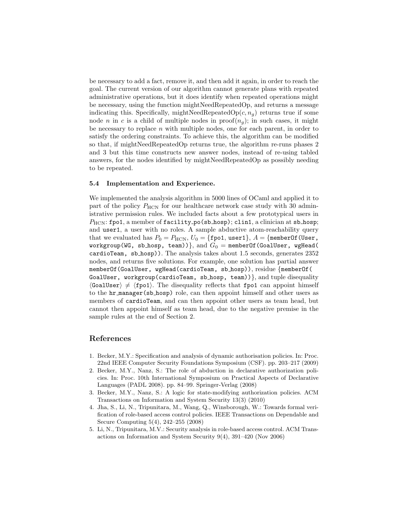be necessary to add a fact, remove it, and then add it again, in order to reach the goal. The current version of our algorithm cannot generate plans with repeated administrative operations, but it does identify when repeated operations might be necessary, using the function mightNeedRepeatedOp, and returns a message indicating this. Specifically, mightNeedRepeatedOp $(c, n_q)$  returns true if some node *n* in *c* is a child of multiple nodes in  $\text{proof}(n_g)$ ; in such cases, it might be necessary to replace  $n$  with multiple nodes, one for each parent, in order to satisfy the ordering constraints. To achieve this, the algorithm can be modified so that, if mightNeedRepeatedOp returns true, the algorithm re-runs phases 2 and 3 but this time constructs new answer nodes, instead of re-using tabled answers, for the nodes identified by mightNeedRepeatedOp as possibly needing to be repeated.

### 5.4 Implementation and Experience.

We implemented the analysis algorithm in 5000 lines of OCaml and applied it to part of the policy  $P_{\text{HCN}}$  for our healthcare network case study with 30 administrative permission rules. We included facts about a few prototypical users in  $P_{\text{HCN}}$ : fpo1, a member of facility po(sb hosp); clin1, a clinician at sb hosp; and user1, a user with no roles. A sample abductive atom-reachability query that we evaluated has  $P_0 = P_{HCN}$ ,  $U_0 = \{\texttt{fpo1}, \texttt{user1}\}, A = \{\texttt{memberOf}(\texttt{User},$ workgroup(WG, sb\_hosp, team)), and  $G_0$  = memberOf(GoalUser, wgHead( cardioTeam, sb hosp)). The analysis takes about 1.5 seconds, generates 2352 nodes, and returns five solutions. For example, one solution has partial answer memberOf(GoalUser, wgHead(cardioTeam, sb hosp)), residue {memberOf( GoalUser, workgroup(cardioTeam, sb hosp, team))}, and tuple disequality  $\langle$ GoalUser $\rangle \neq \langle$ fpo1 $\rangle$ . The disequality reflects that fpo1 can appoint himself to the hr manager(sb hosp) role, can then appoint himself and other users as members of cardioTeam, and can then appoint other users as team head, but cannot then appoint himself as team head, due to the negative premise in the sample rules at the end of Section 2.

## References

- 1. Becker, M.Y.: Specification and analysis of dynamic authorisation policies. In: Proc. 22nd IEEE Computer Security Foundations Symposium (CSF). pp. 203–217 (2009)
- 2. Becker, M.Y., Nanz, S.: The role of abduction in declarative authorization policies. In: Proc. 10th International Symposium on Practical Aspects of Declarative Languages (PADL 2008). pp. 84–99. Springer-Verlag (2008)
- 3. Becker, M.Y., Nanz, S.: A logic for state-modifying authorization policies. ACM Transactions on Information and System Security 13(3) (2010)
- 4. Jha, S., Li, N., Tripunitara, M., Wang, Q., Winsborough, W.: Towards formal verification of role-based access control policies. IEEE Transactions on Dependable and Secure Computing 5(4), 242–255 (2008)
- 5. Li, N., Tripunitara, M.V.: Security analysis in role-based access control. ACM Transactions on Information and System Security 9(4), 391–420 (Nov 2006)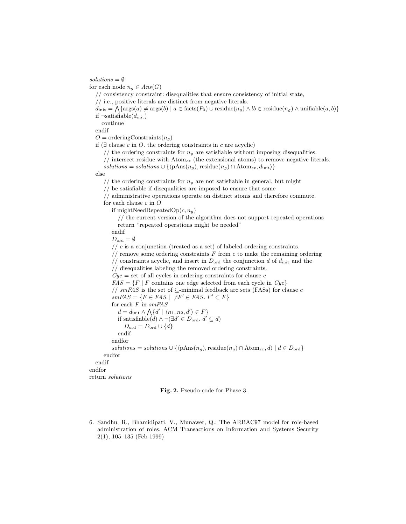## solutions  $=\emptyset$

for each node  $n_g \in Ans(G)$ 

// consistency constraint: disequalities that ensure consistency of initial state,

 $//$  i.e., positive literals are distinct from negative literals.

 $d_{\text{init}} = \bigwedge \{ \arg s(a) \neq \arg s(b) \mid a \in \text{facts}(P_0) \cup \text{residue}(n_g) \wedge !b \in \text{residue}(n_g) \wedge \text{unifiable}(a, b) \}$ if  $\neg$ satisfiable $(d_{\text{init}})$ 

continue

endif

 $O =$  ordering Constraints  $(n_q)$ 

if (∃ clause c in O. the ordering constraints in c are acyclic)

// the ordering constraints for  $n_g$  are satisfiable without imposing disequalities.

// intersect residue with  $\text{Atom}_{ex}$  (the extensional atoms) to remove negative literals.

solutions = solutions  $\cup \{\langle pAns(n_g), residue(n_g) \cap Atom_{ex}, d_{init}\rangle\}$ 

else

// the ordering constraints for  $n<sub>g</sub>$  are not satisfiable in general, but might

// be satisfiable if disequalities are imposed to ensure that some

// administrative operations operate on distinct atoms and therefore commute.

for each clause  $c$  in  $O$ 

if mightNeedRepeatedOp $(c, n_q)$ 

// the current version of the algorithm does not support repeated operations return "repeated operations might be needed"

endif

 $D_{\text{ord}} = \emptyset$ 

 $// c$  is a conjunction (treated as a set) of labeled ordering constraints.  $//$  remove some ordering constraints  $F$  from  $c$  to make the remaining ordering // constraints acyclic, and insert in  $D_{\text{ord}}$  the conjunction d of  $d_{\text{init}}$  and the // disequalities labeling the removed ordering constraints.  $Cyc =$  set of all cycles in ordering constraints for clause c  $FAS = \{F \mid F \text{ contains one edge selected from each cycle in } Cyc\}$ //  $smFAS$  is the set of  $\subseteq$ -minimal feedback arc sets (FASs) for clause c  $smFAS = \{F \in FAS \mid \not\exists F' \in FAS \cdot F' \subset F\}$ for each  $F$  in  $smFAS$  $d = d_{\text{init}} \wedge \bigwedge \{d' \mid \langle n_1, n_2, d' \rangle \in F\}$ if satisfiable $(d) \wedge \neg (\exists d' \in D_{\text{ord}}.\ d' \subseteq d)$  $D_{\text{ord}} = D_{\text{ord}} \cup \{d\}$ endif endfor solutions = solutions  $\cup \{\langle pAns(n_q), residue(n_q) \cap Atom_{ex}, d \rangle \mid d \in D_{ord}\}$ endfor endif endfor return solutions

#### Fig. 2. Pseudo-code for Phase 3.

6. Sandhu, R., Bhamidipati, V., Munawer, Q.: The ARBAC97 model for role-based administration of roles. ACM Transactions on Information and Systems Security 2(1), 105–135 (Feb 1999)